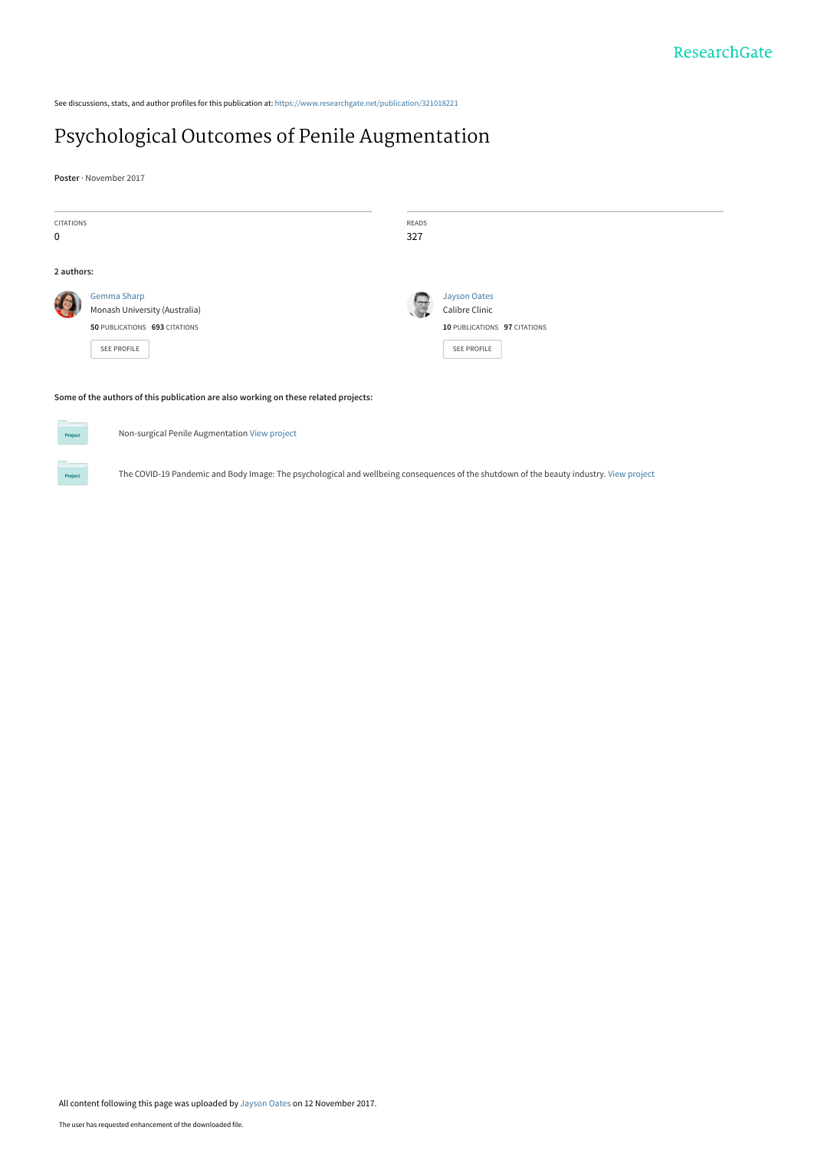See discussions, stats, and author profiles for this publication at: [https://www.researchgate.net/publication/321018221](https://www.researchgate.net/publication/321018221_Psychological_Outcomes_of_Penile_Augmentation?enrichId=rgreq-edd3abe52aac47a1c7c1ca01ea82acd0-XXX&enrichSource=Y292ZXJQYWdlOzMyMTAxODIyMTtBUzo1NTk4NTA1NTU5NjU0NDBAMTUxMDQ5MDE4Mjk2NA%3D%3D&el=1_x_2&_esc=publicationCoverPdf)

#### [Psychological Outcomes of Penile Augmentation](https://www.researchgate.net/publication/321018221_Psychological_Outcomes_of_Penile_Augmentation?enrichId=rgreq-edd3abe52aac47a1c7c1ca01ea82acd0-XXX&enrichSource=Y292ZXJQYWdlOzMyMTAxODIyMTtBUzo1NTk4NTA1NTU5NjU0NDBAMTUxMDQ5MDE4Mjk2NA%3D%3D&el=1_x_3&_esc=publicationCoverPdf)

**Poster** · November 2017

| <b>CITATIONS</b><br>$\mathbf 0$ |                                                                                                    | READS<br>327 |                                                                       |  |  |
|---------------------------------|----------------------------------------------------------------------------------------------------|--------------|-----------------------------------------------------------------------|--|--|
| 2 authors:                      | <b>Gemma Sharp</b><br>Monash University (Australia)<br>50 PUBLICATIONS 693 CITATIONS               | $\mathbb{Z}$ | <b>Jayson Oates</b><br>Calibre Clinic<br>10 PUBLICATIONS 97 CITATIONS |  |  |
|                                 | SEE PROFILE<br>Some of the authors of this publication are also working on these related projects: |              | <b>SEE PROFILE</b>                                                    |  |  |



Non-surgical Penile Augmentation [View project](https://www.researchgate.net/project/Non-surgical-Penile-Augmentation?enrichId=rgreq-edd3abe52aac47a1c7c1ca01ea82acd0-XXX&enrichSource=Y292ZXJQYWdlOzMyMTAxODIyMTtBUzo1NTk4NTA1NTU5NjU0NDBAMTUxMDQ5MDE4Mjk2NA%3D%3D&el=1_x_9&_esc=publicationCoverPdf)

The COVID-19 Pandemic and Body Image: The psychological and wellbeing consequences of the shutdown of the beauty industry. [View project](https://www.researchgate.net/project/The-COVID-19-Pandemic-and-Body-Image-The-psychological-and-wellbeing-consequences-of-the-shutdown-of-the-beauty-industry?enrichId=rgreq-edd3abe52aac47a1c7c1ca01ea82acd0-XXX&enrichSource=Y292ZXJQYWdlOzMyMTAxODIyMTtBUzo1NTk4NTA1NTU5NjU0NDBAMTUxMDQ5MDE4Mjk2NA%3D%3D&el=1_x_9&_esc=publicationCoverPdf)